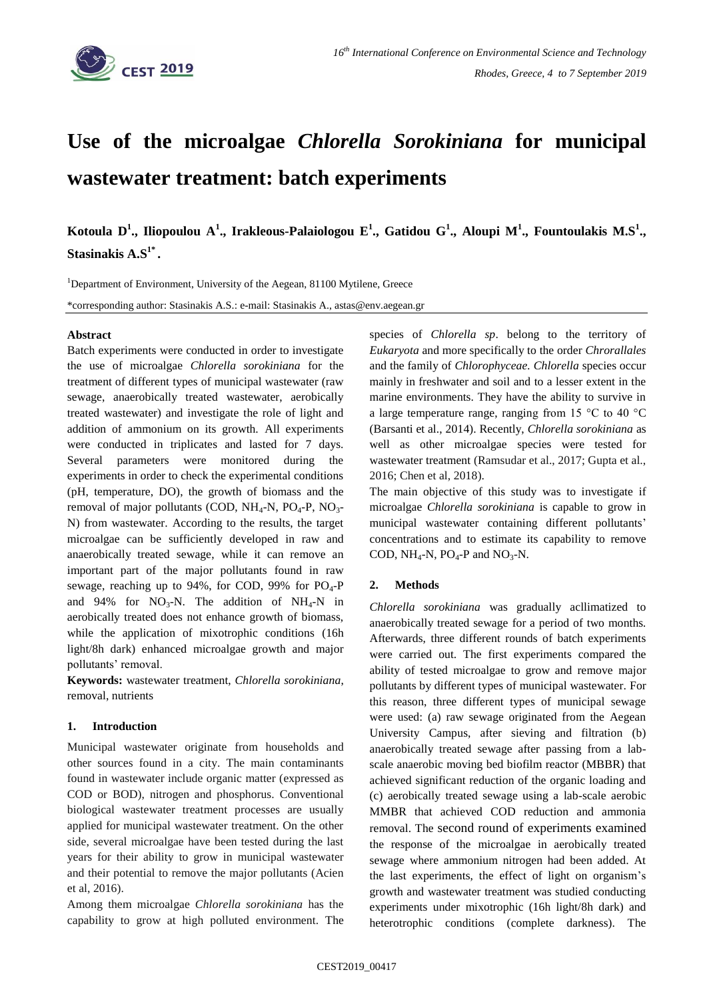

# **Use of the microalgae** *Chlorella Sorokiniana* **for municipal wastewater treatment: batch experiments**

**Kotoula D<sup>1</sup> ., Iliopoulou A<sup>1</sup> ., Irakleous-Palaiologou E<sup>1</sup> ., Gatidou G<sup>1</sup> ., Aloupi M<sup>1</sup> ., Fountoulakis M.S<sup>1</sup> ., Stasinakis A.S1\* .**

<sup>1</sup>Department of Environment, University of the Aegean, 81100 Mytilene, Greece

\*corresponding author: Stasinakis A.S.: e-mail: Stasinakis A., astas@env.aegean.gr

### **Abstract**

Batch experiments were conducted in order to investigate the use of microalgae *Chlorella sorokiniana* for the treatment of different types of municipal wastewater (raw sewage, anaerobically treated wastewater, aerobically treated wastewater) and investigate the role of light and addition of ammonium on its growth. All experiments were conducted in triplicates and lasted for 7 days. Several parameters were monitored during the experiments in order to check the experimental conditions (pH, temperature, DO), the growth of biomass and the removal of major pollutants (COD,  $NH_4$ -N,  $PO_4$ -P,  $NO_3$ -N) from wastewater. According to the results, the target microalgae can be sufficiently developed in raw and anaerobically treated sewage, while it can remove an important part of the major pollutants found in raw sewage, reaching up to 94%, for COD, 99% for  $PO_4$ -P and 94% for  $NO_3-N$ . The addition of  $NH_4-N$  in aerobically treated does not enhance growth of biomass, while the application of mixotrophic conditions (16h light/8h dark) enhanced microalgae growth and major pollutants' removal.

**Keywords:** wastewater treatment, *Chlorella sorokiniana*, removal, nutrients

## **1. Introduction**

Municipal wastewater originate from households and other sources found in a city. The main contaminants found in wastewater include organic matter (expressed as COD or BOD), nitrogen and phosphorus. Conventional biological wastewater treatment processes are usually applied for municipal wastewater treatment. On the other side, several microalgae have been tested during the last years for their ability to grow in municipal wastewater and their potential to remove the major pollutants (Acien et al, 2016).

Among them microalgae *Chlorella sorokiniana* has the capability to grow at high polluted environment. The species of *Chlorella sp*. belong to the territory of *Eukaryota* and more specifically to the order *Chrorallales* and the family of *Chlorophyceae. Chlorella* species occur mainly in freshwater and soil and to a lesser extent in the marine environments. They have the ability to survive in a large temperature range, ranging from 15  $\mathrm{^{\circ}C}$  to 40  $\mathrm{^{\circ}C}$ (Barsanti et al., 2014). Recently, *Chlorella sorokiniana* as well as other microalgae species were tested for wastewater treatment (Ramsudar et al., 2017; Gupta et al., 2016; Chen et al, 2018).

The main objective of this study was to investigate if microalgae *Chlorella sorokiniana* is capable to grow in municipal wastewater containing different pollutants' concentrations and to estimate its capability to remove COD,  $NH_4-N$ ,  $PO_4-P$  and  $NO_3-N$ .

## **2. Methods**

*Chlorella sorokiniana* was gradually acllimatized to anaerobically treated sewage for a period of two months*.*  Afterwards, three different rounds of batch experiments were carried out. The first experiments compared the ability of tested microalgae to grow and remove major pollutants by different types of municipal wastewater. For this reason, three different types of municipal sewage were used: (a) raw sewage originated from the Aegean University Campus, after sieving and filtration (b) anaerobically treated sewage after passing from a labscale anaerobic moving bed biofilm reactor (MBBR) that achieved significant reduction of the organic loading and (c) aerobically treated sewage using a lab-scale aerobic MMBR that achieved COD reduction and ammonia removal. The second round of experiments examined the response of the microalgae in aerobically treated sewage where ammonium nitrogen had been added. At the last experiments, the effect of light on organism's growth and wastewater treatment was studied conducting experiments under mixotrophic (16h light/8h dark) and heterotrophic conditions (complete darkness). The